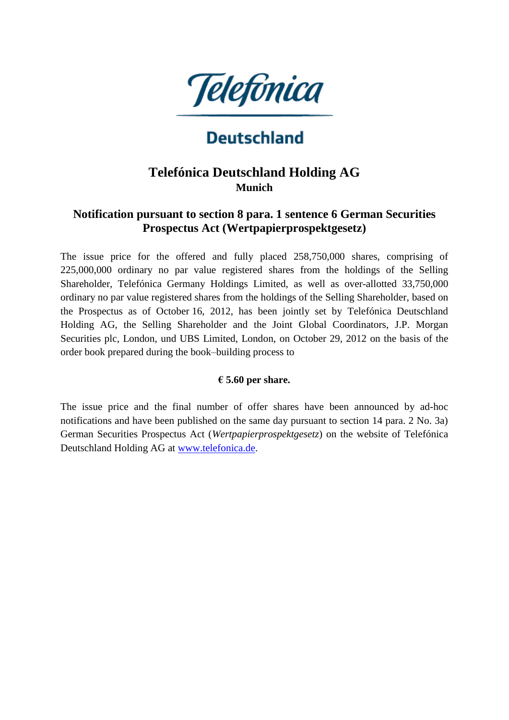

# **Deutschland**

# **Telefónica Deutschland Holding AG Munich**

## **Notification pursuant to section 8 para. 1 sentence 6 German Securities Prospectus Act (Wertpapierprospektgesetz)**

The issue price for the offered and fully placed 258,750,000 shares, comprising of 225,000,000 ordinary no par value registered shares from the holdings of the Selling Shareholder, Telefónica Germany Holdings Limited, as well as over-allotted 33,750,000 ordinary no par value registered shares from the holdings of the Selling Shareholder, based on the Prospectus as of October 16, 2012, has been jointly set by Telefónica Deutschland Holding AG, the Selling Shareholder and the Joint Global Coordinators, J.P. Morgan Securities plc, London, und UBS Limited, London, on October 29, 2012 on the basis of the order book prepared during the book–building process to

#### **€ 5.60 per share.**

The issue price and the final number of offer shares have been announced by ad-hoc notifications and have been published on the same day pursuant to section 14 para. 2 No. 3a) German Securities Prospectus Act (*Wertpapierprospektgesetz*) on the website of Telefónica Deutschland Holding AG at [www.telefonica.de.](http://www.telefonica.de/)